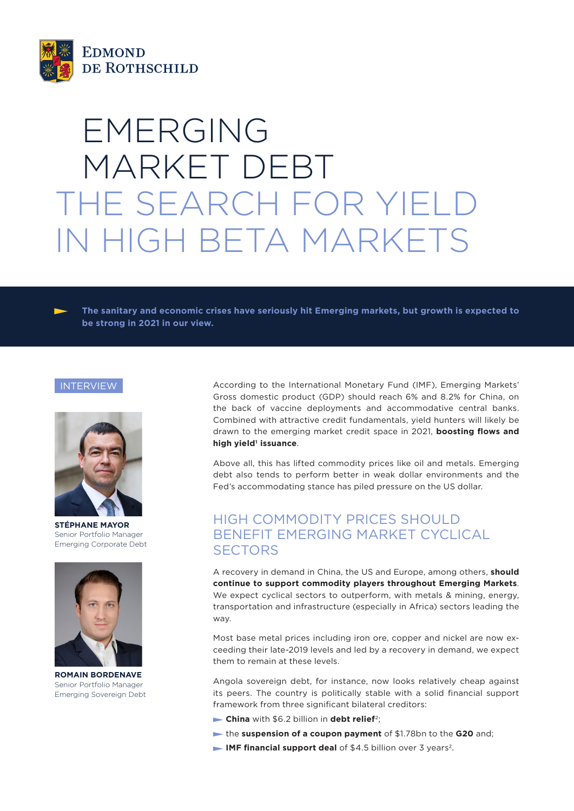

# EMERGING MARKET DEBT THE SEARCH FOR YIELD IN HIGH BETA MARKETS

**The sanitary and economic crises have seriously hit Emerging markets, but growth is expected to be strong in 2021 in our view.**

#### INTERVIEW



**STÉPHANE MAYOR** Senior Portfolio Manager Emerging Corporate Debt



**ROMAIN BORDENAVE** Senior Portfolio Manager Emerging Sovereign Debt

According to the International Monetary Fund (IMF), Emerging Markets' Gross domestic product (GDP) should reach 6% and 8.2% for China, on the back of vaccine deployments and accommodative central banks. Combined with attractive credit fundamentals, yield hunters will likely be drawn to the emerging market credit space in 2021, **boosting flows and**  high yield<sup>1</sup> issuance.

Above all, this has lifted commodity prices like oil and metals. Emerging debt also tends to perform better in weak dollar environments and the Fed's accommodating stance has piled pressure on the US dollar.

### HIGH COMMODITY PRICES SHOULD BENEFIT EMERGING MARKET CYCLICAL **SECTORS**

A recovery in demand in China, the US and Europe, among others, **should continue to support commodity players throughout Emerging Markets**. We expect cyclical sectors to outperform, with metals & mining, energy, transportation and infrastructure (especially in Africa) sectors leading the way.

Most base metal prices including iron ore, copper and nickel are now exceeding their late-2019 levels and led by a recovery in demand, we expect them to remain at these levels.

Angola sovereign debt, for instance, now looks relatively cheap against its peers. The country is politically stable with a solid financial support framework from three significant bilateral creditors:

- **China** with \$6.2 billion in **debt relief**2;
- the **suspension of a coupon payment** of \$1.78bn to the **G20** and;
- **IMF financial support deal** of \$4.5 billion over 3 years<sup>2</sup>.